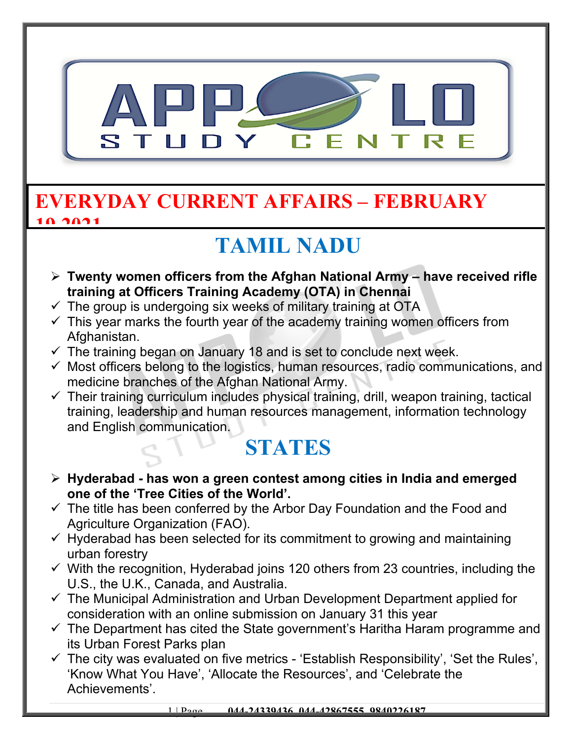

#### **EVERYDAY CURRENT AFFAIRS – FEBRUARY**  10,2021

# **TAMIL NADU**

- **Twenty women officers from the Afghan National Army have received rifle training at Officers Training Academy (OTA) in Chennai**
- $\checkmark$  The group is undergoing six weeks of military training at OTA
- $\checkmark$  This year marks the fourth year of the academy training women officers from Afghanistan.
- $\checkmark$  The training began on January 18 and is set to conclude next week.
- $\checkmark$  Most officers belong to the logistics, human resources, radio communications, and medicine branches of the Afghan National Army.
- $\checkmark$  Their training curriculum includes physical training, drill, weapon training, tactical training, leadership and human resources management, information technology and English communication.

## **STATES**

- **Hyderabad has won a green contest among cities in India and emerged one of the 'Tree Cities of the World'.**
- $\checkmark$  The title has been conferred by the Arbor Day Foundation and the Food and Agriculture Organization (FAO).
- $\checkmark$  Hyderabad has been selected for its commitment to growing and maintaining urban forestry
- $\checkmark$  With the recognition, Hyderabad joins 120 others from 23 countries, including the U.S., the U.K., Canada, and Australia.
- $\checkmark$  The Municipal Administration and Urban Development Department applied for consideration with an online submission on January 31 this year
- $\checkmark$  The Department has cited the State government's Haritha Haram programme and its Urban Forest Parks plan
- $\checkmark$  The city was evaluated on five metrics 'Establish Responsibility', 'Set the Rules', 'Know What You Have', 'Allocate the Resources', and 'Celebrate the Achievements'.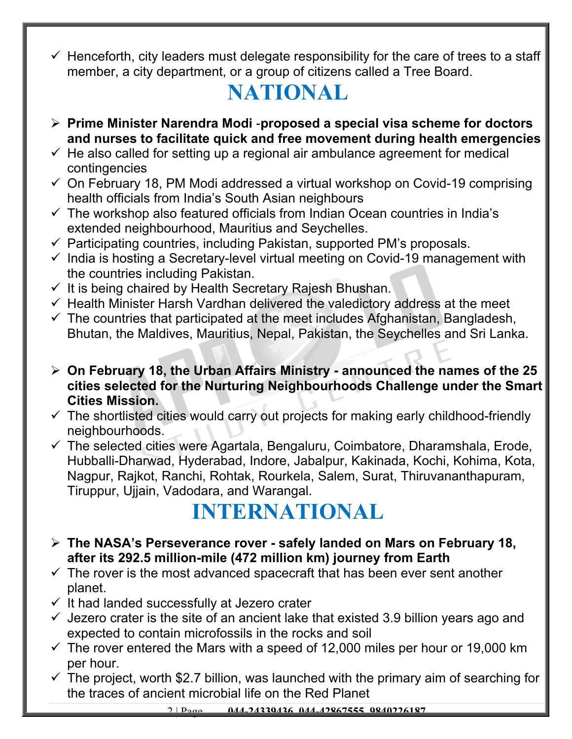$\checkmark$  Henceforth, city leaders must delegate responsibility for the care of trees to a staff member, a city department, or a group of citizens called a Tree Board.

## **NATIONAL**

- **Prime Minister Narendra Modi** -**proposed a special visa scheme for doctors and nurses to facilitate quick and free movement during health emergencies**
- $\checkmark$  He also called for setting up a regional air ambulance agreement for medical contingencies
- $\checkmark$  On February 18, PM Modi addressed a virtual workshop on Covid-19 comprising health officials from India's South Asian neighbours
- $\checkmark$  The workshop also featured officials from Indian Ocean countries in India's extended neighbourhood, Mauritius and Seychelles.
- $\checkmark$  Participating countries, including Pakistan, supported PM's proposals.
- $\checkmark$  India is hosting a Secretary-level virtual meeting on Covid-19 management with the countries including Pakistan.
- $\checkmark$  It is being chaired by Health Secretary Rajesh Bhushan.
- $\checkmark$  Health Minister Harsh Vardhan delivered the valedictory address at the meet
- $\checkmark$  The countries that participated at the meet includes Afghanistan, Bangladesh, Bhutan, the Maldives, Mauritius, Nepal, Pakistan, the Seychelles and Sri Lanka.
- **On February 18, the Urban Affairs Ministry announced the names of the 25 cities selected for the Nurturing Neighbourhoods Challenge under the Smart Cities Mission.**
- $\checkmark$  The shortlisted cities would carry out projects for making early childhood-friendly neighbourhoods.
- $\checkmark$  The selected cities were Agartala, Bengaluru, Coimbatore, Dharamshala, Erode, Hubballi-Dharwad, Hyderabad, Indore, Jabalpur, Kakinada, Kochi, Kohima, Kota, Nagpur, Rajkot, Ranchi, Rohtak, Rourkela, Salem, Surat, Thiruvananthapuram, Tiruppur, Ujjain, Vadodara, and Warangal.

### **INTERNATIONAL**

- **The NASA's Perseverance rover safely landed on Mars on February 18, after its 292.5 million-mile (472 million km) journey from Earth**
- $\checkmark$  The rover is the most advanced spacecraft that has been ever sent another planet.
- $\checkmark$  It had landed successfully at Jezero crater
- $\checkmark$  Jezero crater is the site of an ancient lake that existed 3.9 billion years ago and expected to contain microfossils in the rocks and soil
- $\checkmark$  The rover entered the Mars with a speed of 12,000 miles per hour or 19,000 km per hour.
- $\checkmark$  The project, worth \$2.7 billion, was launched with the primary aim of searching for the traces of ancient microbial life on the Red Planet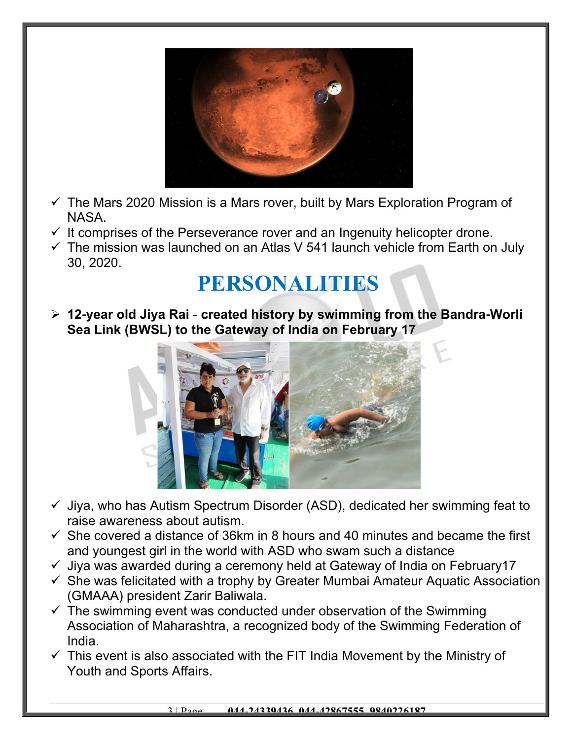

- $\checkmark$  The Mars 2020 Mission is a Mars rover, built by Mars Exploration Program of NASA.
- $\checkmark$  It comprises of the Perseverance rover and an Ingenuity helicopter drone.
- $\checkmark$  The mission was launched on an Atlas V 541 launch vehicle from Earth on July 30, 2020.

## **PERSONALITIES**

 **12-year old Jiya Rai** - **created history by swimming from the Bandra-Worli Sea Link (BWSL) to the Gateway of India on February 17**



- $\checkmark$  Jiya, who has Autism Spectrum Disorder (ASD), dedicated her swimming feat to raise awareness about autism.
- $\checkmark$  She covered a distance of 36km in 8 hours and 40 minutes and became the first and youngest girl in the world with ASD who swam such a distance
- $\checkmark$  Jiya was awarded during a ceremony held at Gateway of India on February 17
- $\checkmark$  She was felicitated with a trophy by Greater Mumbai Amateur Aquatic Association (GMAAA) president Zarir Baliwala.
- $\checkmark$  The swimming event was conducted under observation of the Swimming Association of Maharashtra, a recognized body of the Swimming Federation of India.
- $\checkmark$  This event is also associated with the FIT India Movement by the Ministry of Youth and Sports Affairs.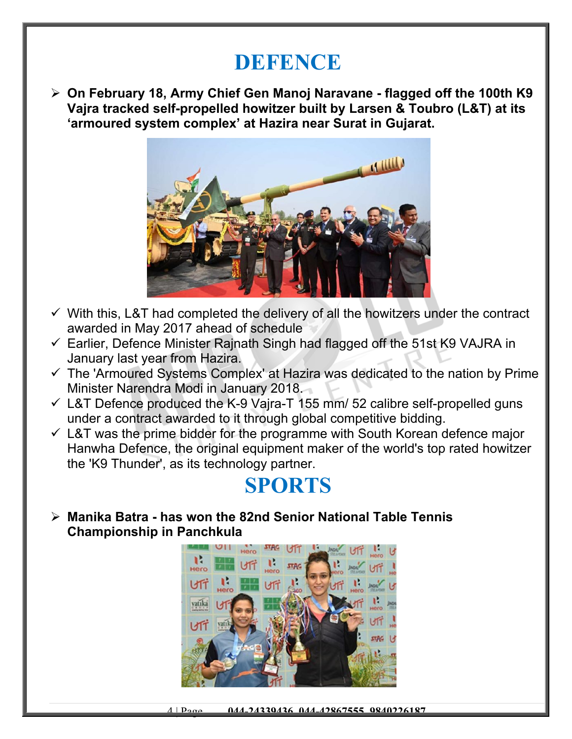#### **DEFENCE**

 **On February 18, Army Chief Gen Manoj Naravane - flagged off the 100th K9 Vajra tracked self-propelled howitzer built by Larsen & Toubro (L&T) at its 'armoured system complex' at Hazira near Surat in Gujarat.** 



- $\checkmark$  With this, L&T had completed the delivery of all the howitzers under the contract awarded in May 2017 ahead of schedule
- $\checkmark$  Earlier, Defence Minister Rajnath Singh had flagged off the 51st K9 VAJRA in January last year from Hazira.
- $\checkmark$  The 'Armoured Systems Complex' at Hazira was dedicated to the nation by Prime Minister Narendra Modi in January 2018.
- $\checkmark$  L&T Defence produced the K-9 Vajra-T 155 mm/ 52 calibre self-propelled guns under a contract awarded to it through global competitive bidding.
- $\checkmark$  L&T was the prime bidder for the programme with South Korean defence major Hanwha Defence, the original equipment maker of the world's top rated howitzer the 'K9 Thunder', as its technology partner.

#### **SPORTS**

 **Manika Batra - has won the 82nd Senior National Table Tennis Championship in Panchkula**